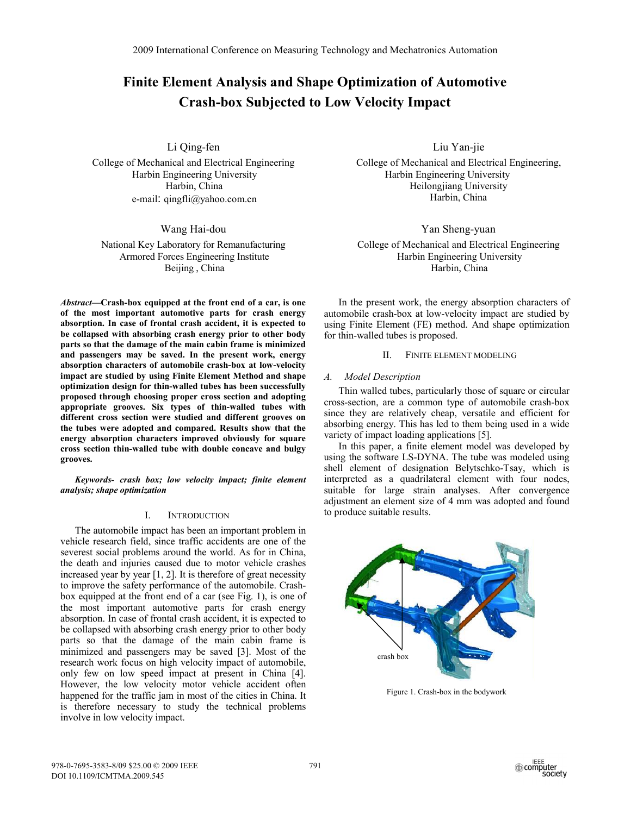# **Finite Element Analysis and Shape Optimization of Automotive Crash-box Subjected to Low Velocity Impact**

Li Qing-fen

College of Mechanical and Electrical Engineering Harbin Engineering University Harbin, China e-mail: qingfli@yahoo.com.cn

Wang Hai-dou

National Key Laboratory for Remanufacturing Armored Forces Engineering Institute Beijing , China

*Abstract***—Crash-box equipped at the front end of a car, is one of the most important automotive parts for crash energy absorption. In case of frontal crash accident, it is expected to be collapsed with absorbing crash energy prior to other body parts so that the damage of the main cabin frame is minimized and passengers may be saved. In the present work, energy absorption characters of automobile crash-box at low-velocity impact are studied by using Finite Element Method and shape optimization design for thin-walled tubes has been successfully proposed through choosing proper cross section and adopting appropriate grooves. Six types of thin-walled tubes with different cross section were studied and different grooves on the tubes were adopted and compared. Results show that the energy absorption characters improved obviously for square cross section thin-walled tube with double concave and bulgy grooves.** 

*Keywords- crash box; low velocity impact; finite element analysis; shape optimization* 

## I. INTRODUCTION

The automobile impact has been an important problem in vehicle research field, since traffic accidents are one of the severest social problems around the world. As for in China, the death and injuries caused due to motor vehicle crashes increased year by year  $[1, 2]$ . It is therefore of great necessity to improve the safety performance of the automobile. Crashbox equipped at the front end of a car (see Fig. 1), is one of the most important automotive parts for crash energy absorption. In case of frontal crash accident, it is expected to be collapsed with absorbing crash energy prior to other body parts so that the damage of the main cabin frame is minimized and passengers may be saved [3]. Most of the research work focus on high velocity impact of automobile, only few on low speed impact at present in China [4]. However, the low velocity motor vehicle accident often happened for the traffic jam in most of the cities in China. It is therefore necessary to study the technical problems involve in low velocity impact.

Liu Yan-jie

College of Mechanical and Electrical Engineering, Harbin Engineering University Heilongjiang University Harbin, China

Yan Sheng-yuan

College of Mechanical and Electrical Engineering Harbin Engineering University Harbin, China

In the present work, the energy absorption characters of automobile crash-box at low-velocity impact are studied by using Finite Element (FE) method. And shape optimization for thin-walled tubes is proposed.

## II. FINITE ELEMENT MODELING

## *A. Model Description*

Thin walled tubes, particularly those of square or circular cross-section, are a common type of automobile crash-box since they are relatively cheap, versatile and efficient for absorbing energy. This has led to them being used in a wide variety of impact loading applications [5].

In this paper, a finite element model was developed by using the software LS-DYNA. The tube was modeled using shell element of designation Belytschko-Tsay, which is interpreted as a quadrilateral element with four nodes, suitable for large strain analyses. After convergence adjustment an element size of 4 mm was adopted and found to produce suitable results.



Figure 1. Crash-box in the bodywork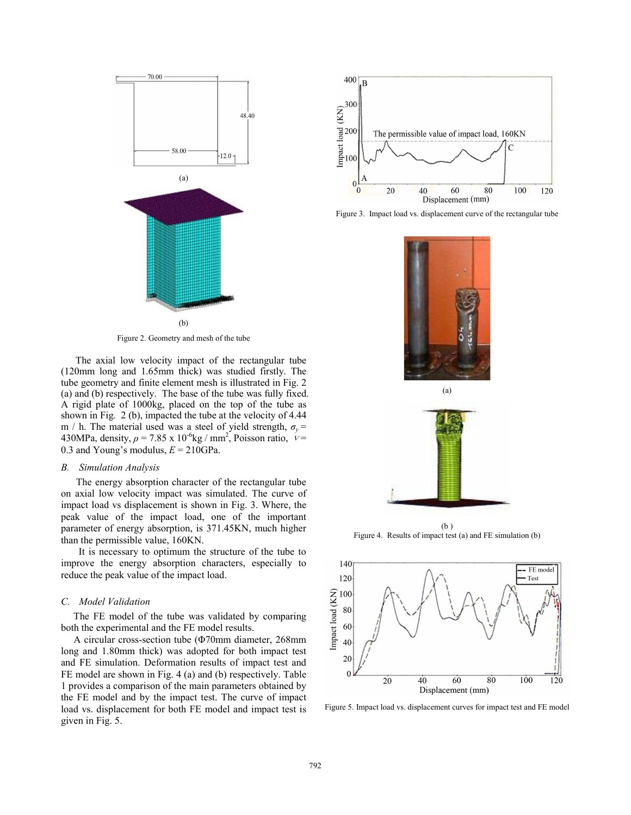

Figure 2. Geometry and mesh of the tube

The axial low velocity impact of the rectangular tube (120mm long and 1.65mm thick) was studied firstly. The tube geometry and finite element mesh is illustrated in Fig. 2 (a) and (b) respectively. The base of the tube was fully fixed. A rigid plate of 1000kg, placed on the top of the tube as shown in Fig. 2 (b), impacted the tube at the velocity of 4.44 m / h. The material used was a steel of yield strength,  $\sigma_v$  = 430MPa, density,  $\rho = 7.85 \times 10^{-6}$ kg / mm<sup>2</sup>, Poisson ratio,  $v =$ 0.3 and Young's modulus,  $E = 210$ GPa.

#### *B. Simulation Analysis*

 The energy absorption character of the rectangular tube on axial low velocity impact was simulated. The curve of impact load vs displacement is shown in Fig. 3. Where, the peak value of the impact load, one of the important parameter of energy absorption, is 371.45KN, much higher than the permissible value, 160KN.

 It is necessary to optimum the structure of the tube to improve the energy absorption characters, especially to reduce the peak value of the impact load.

#### *C. Model Validation*

 The FE model of the tube was validated by comparing both the experimental and the FE model results.

A circular cross-section tube ( $\Phi$ 70mm diameter, 268mm long and 1.80mm thick) was adopted for both impact test and FE simulation. Deformation results of impact test and FE model are shown in Fig. 4 (a) and (b) respectively. Table 1 provides a comparison of the main parameters obtained by the FE model and by the impact test. The curve of impact load vs. displacement for both FE model and impact test is given in Fig. 5.



Figure 3. Impact load vs. displacement curve of the rectangular tube



(a)



(b ) Figure 4. Results of impact test (a) and FE simulation (b)



Figure 5. Impact load vs. displacement curves for impact test and FE model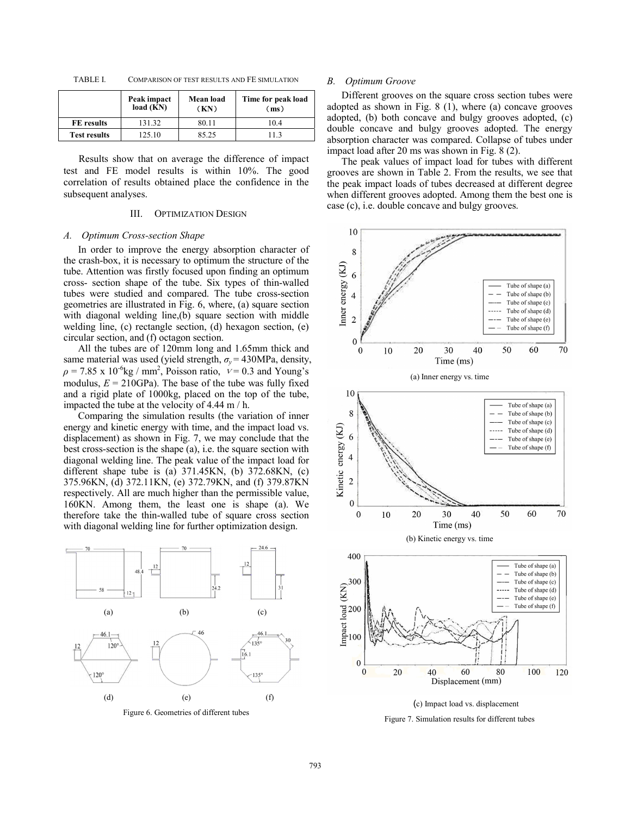| TABLE I. | COMPARISON OF TEST RESULTS AND FE SIMULATION |  |
|----------|----------------------------------------------|--|
|----------|----------------------------------------------|--|

|                     | Peak impact<br>load (KN) | Mean load<br>(KN) | Time for peak load<br>(ms) |
|---------------------|--------------------------|-------------------|----------------------------|
| FE results          | 131.32                   | 80.11             | 10.4                       |
| <b>Test results</b> | 125.10                   | 85.25             | 113                        |

Results show that on average the difference of impact test and FE model results is within 10%. The good correlation of results obtained place the confidence in the subsequent analyses.

## III. OPTIMIZATION DESIGN

#### *A. Optimum Cross-section Shape*

In order to improve the energy absorption character of the crash-box, it is necessary to optimum the structure of the tube. Attention was firstly focused upon finding an optimum cross- section shape of the tube. Six types of thin-walled tubes were studied and compared. The tube cross-section geometries are illustrated in Fig. 6, where, (a) square section with diagonal welding line,(b) square section with middle welding line, (c) rectangle section, (d) hexagon section, (e) circular section, and (f) octagon section.

All the tubes are of 120mm long and 1.65mm thick and same material was used (yield strength,  $\sigma_v$  = 430MPa, density,  $\rho = 7.85 \times 10^{-6}$ kg / mm<sup>2</sup>, Poisson ratio,  $v = 0.3$  and Young's modulus,  $E = 210GPa$ ). The base of the tube was fully fixed and a rigid plate of 1000kg, placed on the top of the tube, impacted the tube at the velocity of 4.44 m / h.

Comparing the simulation results (the variation of inner energy and kinetic energy with time, and the impact load vs. displacement) as shown in Fig. 7, we may conclude that the best cross-section is the shape (a), i.e. the square section with diagonal welding line. The peak value of the impact load for different shape tube is (a) 371.45KN, (b) 372.68KN, (c) 375.96KN, (d) 372.11KN, (e) 372.79KN, and (f) 379.87KN respectively. All are much higher than the permissible value, 160KN. Among them, the least one is shape (a). We therefore take the thin-walled tube of square cross section with diagonal welding line for further optimization design.



Figure 6. Geometries of different tubes

#### *B. Optimum Groove*

Different grooves on the square cross section tubes were adopted as shown in Fig. 8 (1), where (a) concave grooves adopted, (b) both concave and bulgy grooves adopted, (c) double concave and bulgy grooves adopted. The energy absorption character was compared. Collapse of tubes under impact load after 20 ms was shown in Fig. 8 (2).

The peak values of impact load for tubes with different grooves are shown in Table 2. From the results, we see that the peak impact loads of tubes decreased at different degree when different grooves adopted. Among them the best one is case (c), i.e. double concave and bulgy grooves.



(c) Impact load vs. displacement

Figure 7. Simulation results for different tubes